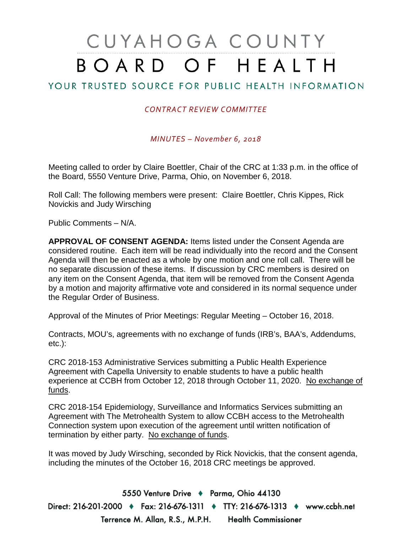## CUYAHOGA COUNTY BOARD OF HEALTH

## YOUR TRUSTED SOURCE FOR PUBLIC HEALTH INFORMATION

## *CONTRACT REVIEW COMMITTEE*

*MINUTES – November 6, 2018*

Meeting called to order by Claire Boettler, Chair of the CRC at 1:33 p.m. in the office of the Board, 5550 Venture Drive, Parma, Ohio, on November 6, 2018.

Roll Call: The following members were present: Claire Boettler, Chris Kippes, Rick Novickis and Judy Wirsching

Public Comments – N/A.

**APPROVAL OF CONSENT AGENDA:** Items listed under the Consent Agenda are considered routine. Each item will be read individually into the record and the Consent Agenda will then be enacted as a whole by one motion and one roll call. There will be no separate discussion of these items. If discussion by CRC members is desired on any item on the Consent Agenda, that item will be removed from the Consent Agenda by a motion and majority affirmative vote and considered in its normal sequence under the Regular Order of Business.

Approval of the Minutes of Prior Meetings: Regular Meeting – October 16, 2018.

Contracts, MOU's, agreements with no exchange of funds (IRB's, BAA's, Addendums, etc.):

CRC 2018-153 Administrative Services submitting a Public Health Experience Agreement with Capella University to enable students to have a public health experience at CCBH from October 12, 2018 through October 11, 2020. No exchange of funds.

CRC 2018-154 Epidemiology, Surveillance and Informatics Services submitting an Agreement with The Metrohealth System to allow CCBH access to the Metrohealth Connection system upon execution of the agreement until written notification of termination by either party. No exchange of funds.

It was moved by Judy Wirsching, seconded by Rick Novickis, that the consent agenda, including the minutes of the October 16, 2018 CRC meetings be approved.

5550 Venture Drive + Parma, Ohio 44130 Direct: 216-201-2000 ♦ Fax: 216-676-1311 ♦ TTY: 216-676-1313 ♦ www.ccbh.net Terrence M. Allan, R.S., M.P.H. Health Commissioner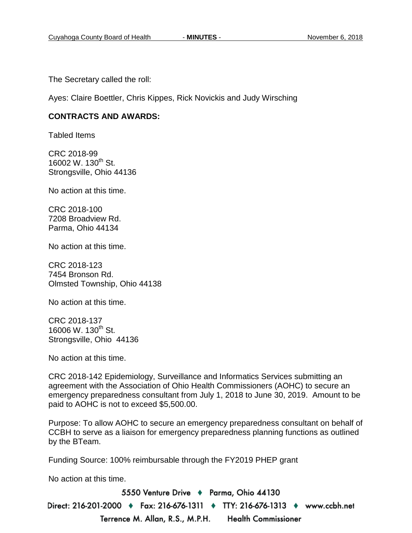The Secretary called the roll:

Ayes: Claire Boettler, Chris Kippes, Rick Novickis and Judy Wirsching

## **CONTRACTS AND AWARDS:**

Tabled Items

CRC 2018-99 16002 W. 130<sup>th</sup> St. Strongsville, Ohio 44136

No action at this time.

CRC 2018-100 7208 Broadview Rd. Parma, Ohio 44134

No action at this time.

CRC 2018-123 7454 Bronson Rd. Olmsted Township, Ohio 44138

No action at this time.

CRC 2018-137 16006 W. 130<sup>th</sup> St. Strongsville, Ohio 44136

No action at this time.

CRC 2018-142 Epidemiology, Surveillance and Informatics Services submitting an agreement with the Association of Ohio Health Commissioners (AOHC) to secure an emergency preparedness consultant from July 1, 2018 to June 30, 2019. Amount to be paid to AOHC is not to exceed \$5,500.00.

Purpose: To allow AOHC to secure an emergency preparedness consultant on behalf of CCBH to serve as a liaison for emergency preparedness planning functions as outlined by the BTeam.

Funding Source: 100% reimbursable through the FY2019 PHEP grant

No action at this time.

5550 Venture Drive + Parma, Ohio 44130 Direct: 216-201-2000 ♦ Fax: 216-676-1311 ♦ TTY: 216-676-1313 ♦ www.ccbh.net Terrence M. Allan, R.S., M.P.H. Health Commissioner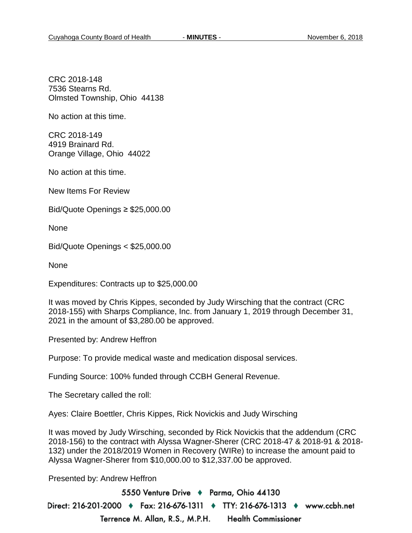CRC 2018-148 7536 Stearns Rd. Olmsted Township, Ohio 44138

No action at this time.

CRC 2018-149 4919 Brainard Rd. Orange Village, Ohio 44022

No action at this time.

New Items For Review

Bid/Quote Openings ≥ \$25,000.00

None

Bid/Quote Openings < \$25,000.00

None

Expenditures: Contracts up to \$25,000.00

It was moved by Chris Kippes, seconded by Judy Wirsching that the contract (CRC 2018-155) with Sharps Compliance, Inc. from January 1, 2019 through December 31, 2021 in the amount of \$3,280.00 be approved.

Presented by: Andrew Heffron

Purpose: To provide medical waste and medication disposal services.

Funding Source: 100% funded through CCBH General Revenue.

The Secretary called the roll:

Ayes: Claire Boettler, Chris Kippes, Rick Novickis and Judy Wirsching

It was moved by Judy Wirsching, seconded by Rick Novickis that the addendum (CRC 2018-156) to the contract with Alyssa Wagner-Sherer (CRC 2018-47 & 2018-91 & 2018- 132) under the 2018/2019 Women in Recovery (WIRe) to increase the amount paid to Alyssa Wagner-Sherer from \$10,000.00 to \$12,337.00 be approved.

Presented by: Andrew Heffron

5550 Venture Drive + Parma, Ohio 44130 Direct: 216-201-2000 ♦ Fax: 216-676-1311 ♦ TTY: 216-676-1313 ♦ www.ccbh.net Terrence M. Allan, R.S., M.P.H. **Health Commissioner**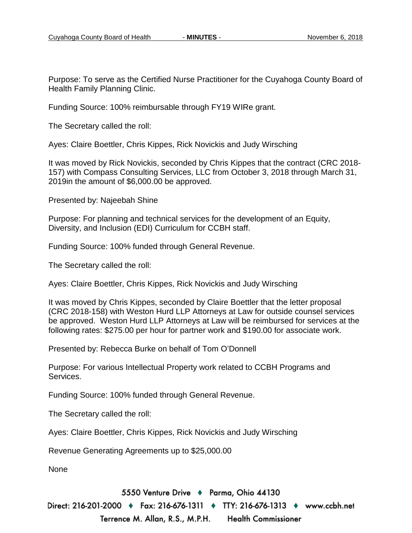Purpose: To serve as the Certified Nurse Practitioner for the Cuyahoga County Board of Health Family Planning Clinic.

Funding Source: 100% reimbursable through FY19 WIRe grant.

The Secretary called the roll:

Ayes: Claire Boettler, Chris Kippes, Rick Novickis and Judy Wirsching

It was moved by Rick Novickis, seconded by Chris Kippes that the contract (CRC 2018- 157) with Compass Consulting Services, LLC from October 3, 2018 through March 31, 2019in the amount of \$6,000.00 be approved.

Presented by: Najeebah Shine

Purpose: For planning and technical services for the development of an Equity, Diversity, and Inclusion (EDI) Curriculum for CCBH staff.

Funding Source: 100% funded through General Revenue.

The Secretary called the roll:

Ayes: Claire Boettler, Chris Kippes, Rick Novickis and Judy Wirsching

It was moved by Chris Kippes, seconded by Claire Boettler that the letter proposal (CRC 2018-158) with Weston Hurd LLP Attorneys at Law for outside counsel services be approved. Weston Hurd LLP Attorneys at Law will be reimbursed for services at the following rates: \$275.00 per hour for partner work and \$190.00 for associate work.

Presented by: Rebecca Burke on behalf of Tom O'Donnell

Purpose: For various Intellectual Property work related to CCBH Programs and Services.

Funding Source: 100% funded through General Revenue.

The Secretary called the roll:

Ayes: Claire Boettler, Chris Kippes, Rick Novickis and Judy Wirsching

Revenue Generating Agreements up to \$25,000.00

None

5550 Venture Drive + Parma, Ohio 44130

Direct: 216-201-2000 ♦ Fax: 216-676-1311 ♦ TTY: 216-676-1313 ♦ www.ccbh.net Terrence M. Allan, R.S., M.P.H. **Health Commissioner**